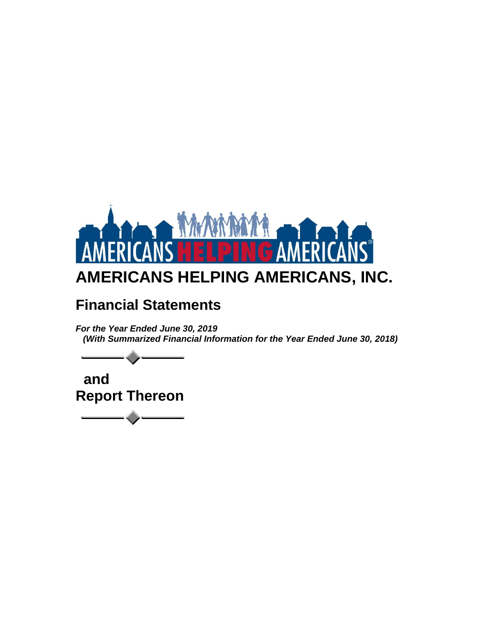## **Financial Statements**

*For the Year Ended June 30, 2019 (With Summarized Financial Information for the Year Ended June 30, 2018)*

 **and Report Thereon**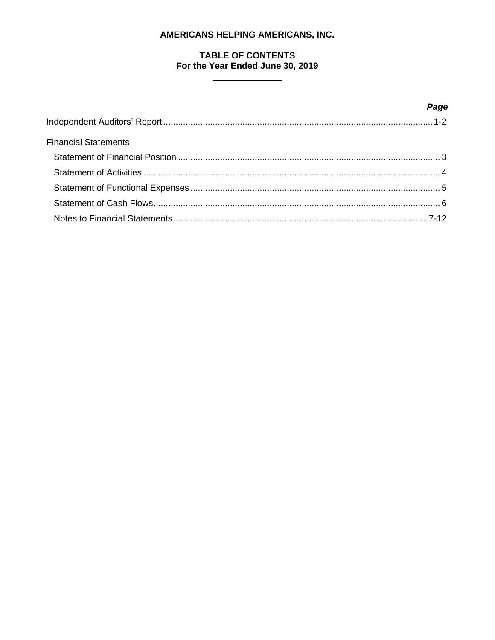## **TABLE OF CONTENTS** For the Year Ended June 30, 2019

 $\overline{\phantom{a}}$ 

|                             | Page |
|-----------------------------|------|
|                             |      |
| <b>Financial Statements</b> |      |
|                             |      |
|                             |      |
|                             |      |
|                             |      |
|                             |      |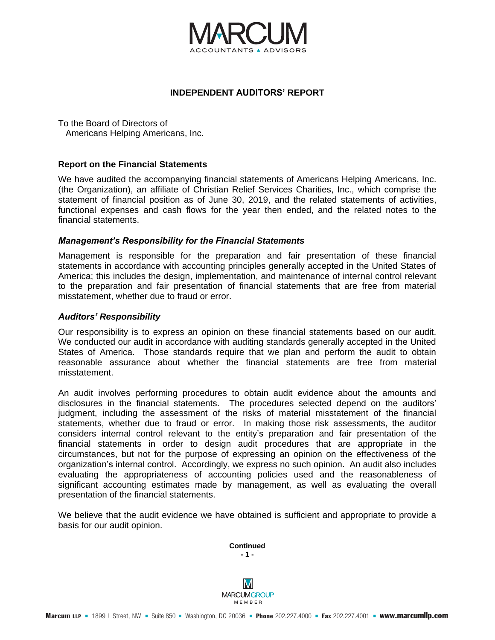

#### **INDEPENDENT AUDITORS' REPORT**

To the Board of Directors of Americans Helping Americans, Inc.

#### **Report on the Financial Statements**

We have audited the accompanying financial statements of Americans Helping Americans, Inc. (the Organization), an affiliate of Christian Relief Services Charities, Inc., which comprise the statement of financial position as of June 30, 2019, and the related statements of activities, functional expenses and cash flows for the year then ended, and the related notes to the financial statements.

#### *Management's Responsibility for the Financial Statements*

Management is responsible for the preparation and fair presentation of these financial statements in accordance with accounting principles generally accepted in the United States of America; this includes the design, implementation, and maintenance of internal control relevant to the preparation and fair presentation of financial statements that are free from material misstatement, whether due to fraud or error.

#### *Auditors' Responsibility*

Our responsibility is to express an opinion on these financial statements based on our audit. We conducted our audit in accordance with auditing standards generally accepted in the United States of America. Those standards require that we plan and perform the audit to obtain reasonable assurance about whether the financial statements are free from material misstatement.

An audit involves performing procedures to obtain audit evidence about the amounts and disclosures in the financial statements. The procedures selected depend on the auditors' judgment, including the assessment of the risks of material misstatement of the financial statements, whether due to fraud or error. In making those risk assessments, the auditor considers internal control relevant to the entity's preparation and fair presentation of the financial statements in order to design audit procedures that are appropriate in the circumstances, but not for the purpose of expressing an opinion on the effectiveness of the organization's internal control. Accordingly, we express no such opinion. An audit also includes evaluating the appropriateness of accounting policies used and the reasonableness of significant accounting estimates made by management, as well as evaluating the overall presentation of the financial statements.

We believe that the audit evidence we have obtained is sufficient and appropriate to provide a basis for our audit opinion.

> **Continued - 1 -**

M **MARCUMGROUP** MEMBER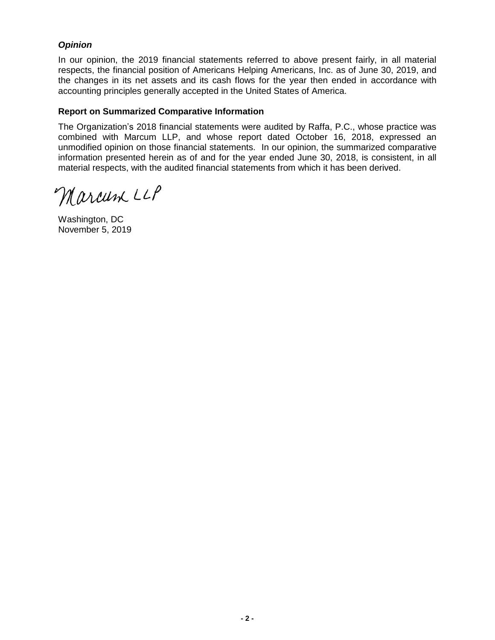## *Opinion*

In our opinion, the 2019 financial statements referred to above present fairly, in all material respects, the financial position of Americans Helping Americans, Inc. as of June 30, 2019, and the changes in its net assets and its cash flows for the year then ended in accordance with accounting principles generally accepted in the United States of America.

#### **Report on Summarized Comparative Information**

The Organization's 2018 financial statements were audited by Raffa, P.C., whose practice was combined with Marcum LLP, and whose report dated October 16, 2018, expressed an unmodified opinion on those financial statements. In our opinion, the summarized comparative information presented herein as of and for the year ended June 30, 2018, is consistent, in all material respects, with the audited financial statements from which it has been derived.

Marcum LLP

Washington, DC November 5, 2019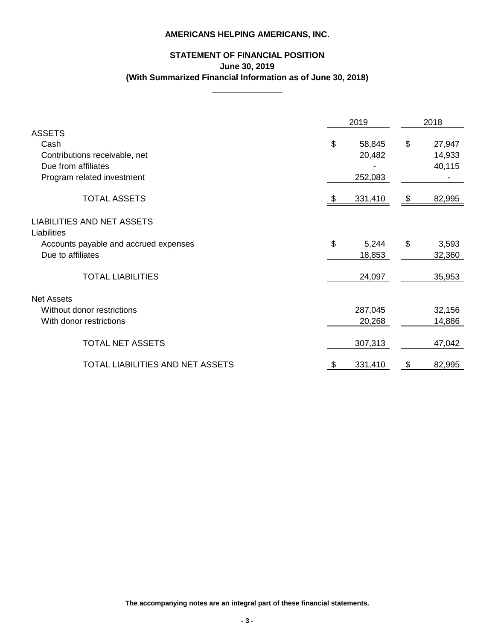## **STATEMENT OF FINANCIAL POSITION June 30, 2019 (With Summarized Financial Information as of June 30, 2018)**

 $\overline{\phantom{a}}$  , where  $\overline{\phantom{a}}$ 

|                                                  |                           | 2019    |    | 2018   |
|--------------------------------------------------|---------------------------|---------|----|--------|
| <b>ASSETS</b>                                    |                           |         |    |        |
| Cash                                             | \$                        | 58,845  | \$ | 27,947 |
| Contributions receivable, net                    |                           | 20,482  |    | 14,933 |
| Due from affiliates                              |                           |         |    | 40,115 |
| Program related investment                       |                           | 252,083 |    |        |
| <b>TOTAL ASSETS</b>                              | \$                        | 331,410 | \$ | 82,995 |
| <b>LIABILITIES AND NET ASSETS</b><br>Liabilities |                           |         |    |        |
| Accounts payable and accrued expenses            | $\boldsymbol{\mathsf{S}}$ | 5,244   | \$ | 3,593  |
| Due to affiliates                                |                           | 18,853  |    | 32,360 |
|                                                  |                           |         |    |        |
| <b>TOTAL LIABILITIES</b>                         |                           | 24,097  |    | 35,953 |
| <b>Net Assets</b>                                |                           |         |    |        |
| Without donor restrictions                       |                           | 287,045 |    | 32,156 |
| With donor restrictions                          |                           | 20,268  |    | 14,886 |
|                                                  |                           |         |    |        |
| <b>TOTAL NET ASSETS</b>                          |                           | 307,313 |    | 47,042 |
| <b>TOTAL LIABILITIES AND NET ASSETS</b>          | S                         | 331,410 | Ъ  | 82,995 |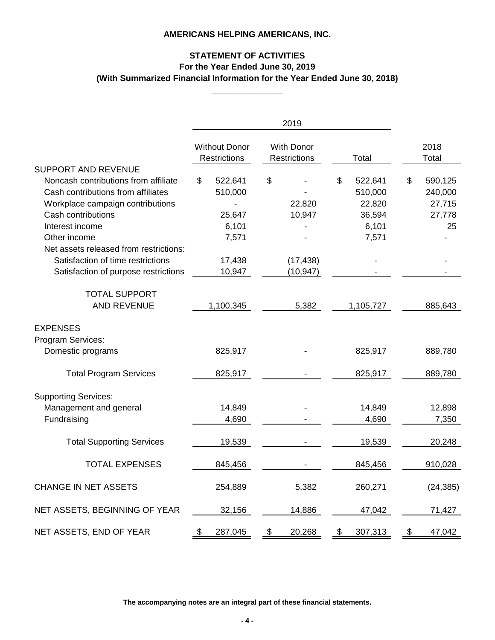## **STATEMENT OF ACTIVITIES For the Year Ended June 30, 2019 (With Summarized Financial Information for the Year Ended June 30, 2018)**

\_\_\_\_\_\_\_\_\_\_\_\_\_\_\_

|                                                       |    |                                             |                                          | 2019      |       |           |               |
|-------------------------------------------------------|----|---------------------------------------------|------------------------------------------|-----------|-------|-----------|---------------|
|                                                       |    | <b>Without Donor</b><br><b>Restrictions</b> | <b>With Donor</b><br><b>Restrictions</b> |           | Total |           | 2018<br>Total |
| <b>SUPPORT AND REVENUE</b>                            |    |                                             |                                          |           |       |           |               |
| Noncash contributions from affiliate                  | \$ | 522,641                                     | \$                                       |           | \$    | 522,641   | \$<br>590,125 |
| Cash contributions from affiliates                    |    | 510,000                                     |                                          |           |       | 510,000   | 240,000       |
| Workplace campaign contributions                      |    |                                             |                                          | 22,820    |       | 22,820    | 27,715        |
| Cash contributions                                    |    | 25,647                                      |                                          | 10,947    |       | 36,594    | 27,778        |
| Interest income                                       |    | 6,101                                       |                                          |           |       | 6,101     | 25            |
| Other income                                          |    | 7,571                                       |                                          |           |       | 7,571     |               |
| Net assets released from restrictions:                |    |                                             |                                          |           |       |           |               |
| Satisfaction of time restrictions                     |    | 17,438                                      |                                          | (17, 438) |       |           |               |
| Satisfaction of purpose restrictions                  |    | 10,947                                      |                                          | (10, 947) |       |           |               |
|                                                       |    |                                             |                                          |           |       |           |               |
| <b>TOTAL SUPPORT</b>                                  |    |                                             |                                          |           |       |           |               |
| <b>AND REVENUE</b>                                    |    | 1,100,345                                   |                                          | 5,382     |       | 1,105,727 | 885,643       |
| <b>EXPENSES</b>                                       |    |                                             |                                          |           |       |           |               |
| Program Services:                                     |    |                                             |                                          |           |       |           |               |
| Domestic programs                                     |    | 825,917                                     |                                          |           |       | 825,917   | 889,780       |
| <b>Total Program Services</b>                         |    | 825,917                                     |                                          |           |       | 825,917   | 889,780       |
|                                                       |    |                                             |                                          |           |       |           |               |
| <b>Supporting Services:</b><br>Management and general |    | 14,849                                      |                                          |           |       | 14,849    | 12,898        |
| Fundraising                                           |    | 4,690                                       |                                          |           |       | 4,690     | 7,350         |
|                                                       |    |                                             |                                          |           |       |           |               |
| <b>Total Supporting Services</b>                      |    | 19,539                                      |                                          |           |       | 19,539    | 20,248        |
| <b>TOTAL EXPENSES</b>                                 |    | 845,456                                     |                                          |           |       | 845,456   | 910,028       |
| <b>CHANGE IN NET ASSETS</b>                           |    | 254,889                                     |                                          | 5,382     |       | 260,271   | (24, 385)     |
| NET ASSETS, BEGINNING OF YEAR                         |    | 32,156                                      |                                          | 14,886    |       | 47,042    | 71,427        |
| NET ASSETS, END OF YEAR                               | Ψ  | 287,045                                     |                                          | 20,268    |       | 307,313   | 47,042        |

**The accompanying notes are an integral part of these financial statements.**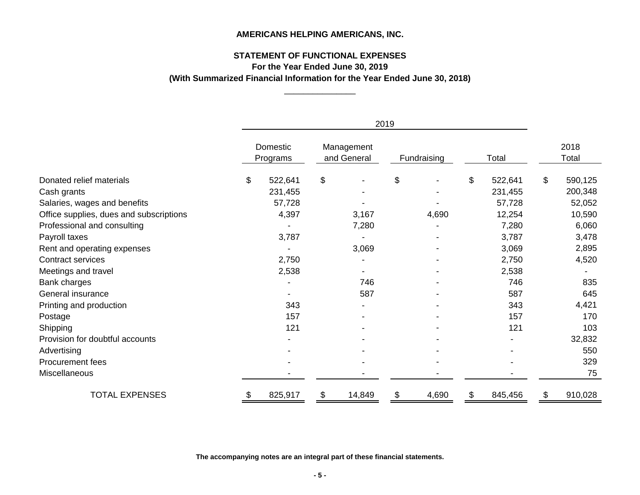## **STATEMENT OF FUNCTIONAL EXPENSES For the Year Ended June 30, 2019 (With Summarized Financial Information for the Year Ended June 30, 2018)**

\_\_\_\_\_\_\_\_\_\_\_\_\_\_\_

|                                         | 2019                 |    |                           |    |             |    |         |    |               |
|-----------------------------------------|----------------------|----|---------------------------|----|-------------|----|---------|----|---------------|
|                                         | Domestic<br>Programs |    | Management<br>and General |    | Fundraising |    | Total   |    | 2018<br>Total |
| Donated relief materials                | \$<br>522,641        | \$ |                           | \$ |             | \$ | 522,641 | \$ | 590,125       |
| Cash grants                             | 231,455              |    |                           |    |             |    | 231,455 |    | 200,348       |
| Salaries, wages and benefits            | 57,728               |    |                           |    |             |    | 57,728  |    | 52,052        |
| Office supplies, dues and subscriptions | 4,397                |    | 3,167                     |    | 4,690       |    | 12,254  |    | 10,590        |
| Professional and consulting             |                      |    | 7,280                     |    |             |    | 7,280   |    | 6,060         |
| Payroll taxes                           | 3,787                |    |                           |    |             |    | 3,787   |    | 3,478         |
| Rent and operating expenses             |                      |    | 3,069                     |    |             |    | 3,069   |    | 2,895         |
| Contract services                       | 2,750                |    |                           |    |             |    | 2,750   |    | 4,520         |
| Meetings and travel                     | 2,538                |    |                           |    |             |    | 2,538   |    |               |
| Bank charges                            |                      |    | 746                       |    |             |    | 746     |    | 835           |
| General insurance                       |                      |    | 587                       |    |             |    | 587     |    | 645           |
| Printing and production                 | 343                  |    |                           |    |             |    | 343     |    | 4,421         |
| Postage                                 | 157                  |    |                           |    |             |    | 157     |    | 170           |
| Shipping                                | 121                  |    |                           |    |             |    | 121     |    | 103           |
| Provision for doubtful accounts         |                      |    |                           |    |             |    |         |    | 32,832        |
| Advertising                             |                      |    |                           |    |             |    |         |    | 550           |
| Procurement fees                        |                      |    |                           |    |             |    |         |    | 329           |
| Miscellaneous                           |                      |    |                           |    |             |    |         |    | 75            |
| <b>TOTAL EXPENSES</b>                   | 825,917              | S  | 14,849                    | S  | 4,690       |    | 845,456 |    | 910,028       |

**The accompanying notes are an integral part of these financial statements.**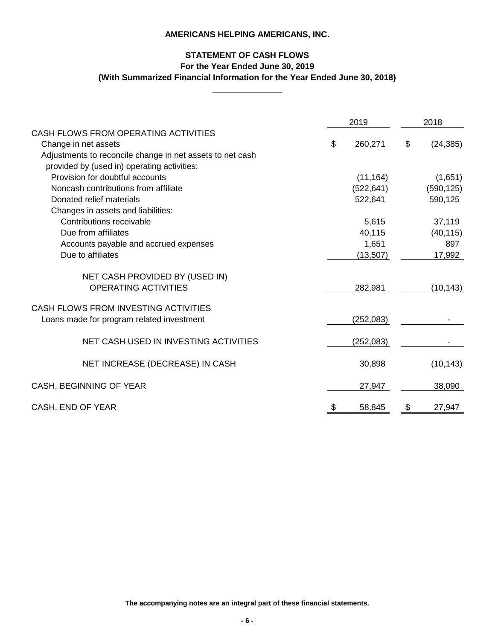## **STATEMENT OF CASH FLOWS For the Year Ended June 30, 2019 (With Summarized Financial Information for the Year Ended June 30, 2018)**

 $\overline{\phantom{a}}$  , where  $\overline{\phantom{a}}$ 

|                                                           | 2019          | 2018            |
|-----------------------------------------------------------|---------------|-----------------|
| CASH FLOWS FROM OPERATING ACTIVITIES                      |               |                 |
| Change in net assets                                      | \$<br>260,271 | \$<br>(24, 385) |
| Adjustments to reconcile change in net assets to net cash |               |                 |
| provided by (used in) operating activities:               |               |                 |
| Provision for doubtful accounts                           | (11, 164)     | (1,651)         |
| Noncash contributions from affiliate                      | (522, 641)    | (590, 125)      |
| Donated relief materials                                  | 522,641       | 590,125         |
| Changes in assets and liabilities:                        |               |                 |
| Contributions receivable                                  | 5,615         | 37,119          |
| Due from affiliates                                       | 40,115        | (40, 115)       |
| Accounts payable and accrued expenses                     | 1,651         | 897             |
| Due to affiliates                                         | (13,507)      | 17,992          |
| NET CASH PROVIDED BY (USED IN)                            |               |                 |
| <b>OPERATING ACTIVITIES</b>                               | 282,981       | (10, 143)       |
| CASH FLOWS FROM INVESTING ACTIVITIES                      |               |                 |
| Loans made for program related investment                 | (252, 083)    |                 |
| NET CASH USED IN INVESTING ACTIVITIES                     | (252,083)     |                 |
| NET INCREASE (DECREASE) IN CASH                           | 30,898        | (10, 143)       |
| CASH, BEGINNING OF YEAR                                   | 27,947        | 38,090          |
| CASH, END OF YEAR                                         | \$<br>58,845  | \$<br>27,947    |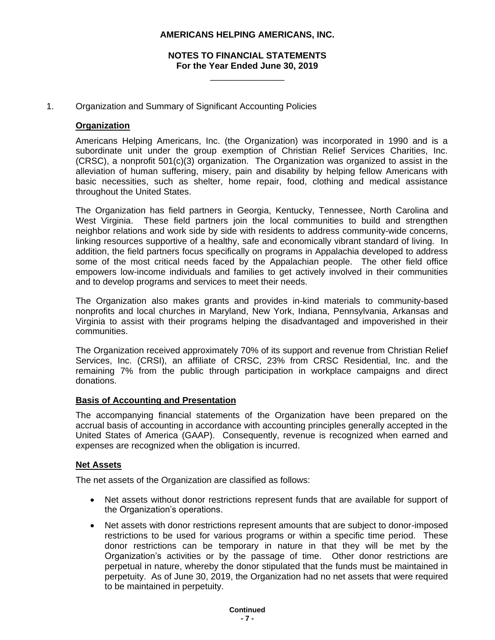#### **NOTES TO FINANCIAL STATEMENTS For the Year Ended June 30, 2019**

\_\_\_\_\_\_\_\_\_\_\_\_\_\_\_

#### 1. Organization and Summary of Significant Accounting Policies

#### **Organization**

Americans Helping Americans, Inc. (the Organization) was incorporated in 1990 and is a subordinate unit under the group exemption of Christian Relief Services Charities, Inc. (CRSC), a nonprofit 501(c)(3) organization. The Organization was organized to assist in the alleviation of human suffering, misery, pain and disability by helping fellow Americans with basic necessities, such as shelter, home repair, food, clothing and medical assistance throughout the United States.

The Organization has field partners in Georgia, Kentucky, Tennessee, North Carolina and West Virginia. These field partners join the local communities to build and strengthen neighbor relations and work side by side with residents to address community-wide concerns, linking resources supportive of a healthy, safe and economically vibrant standard of living. In addition, the field partners focus specifically on programs in Appalachia developed to address some of the most critical needs faced by the Appalachian people. The other field office empowers low-income individuals and families to get actively involved in their communities and to develop programs and services to meet their needs.

The Organization also makes grants and provides in-kind materials to community-based nonprofits and local churches in Maryland, New York, Indiana, Pennsylvania, Arkansas and Virginia to assist with their programs helping the disadvantaged and impoverished in their communities.

The Organization received approximately 70% of its support and revenue from Christian Relief Services, Inc. (CRSI), an affiliate of CRSC, 23% from CRSC Residential, Inc. and the remaining 7% from the public through participation in workplace campaigns and direct donations.

#### **Basis of Accounting and Presentation**

The accompanying financial statements of the Organization have been prepared on the accrual basis of accounting in accordance with accounting principles generally accepted in the United States of America (GAAP). Consequently, revenue is recognized when earned and expenses are recognized when the obligation is incurred.

#### **Net Assets**

The net assets of the Organization are classified as follows:

- Net assets without donor restrictions represent funds that are available for support of the Organization's operations.
- Net assets with donor restrictions represent amounts that are subject to donor-imposed restrictions to be used for various programs or within a specific time period. These donor restrictions can be temporary in nature in that they will be met by the Organization's activities or by the passage of time. Other donor restrictions are perpetual in nature, whereby the donor stipulated that the funds must be maintained in perpetuity. As of June 30, 2019, the Organization had no net assets that were required to be maintained in perpetuity.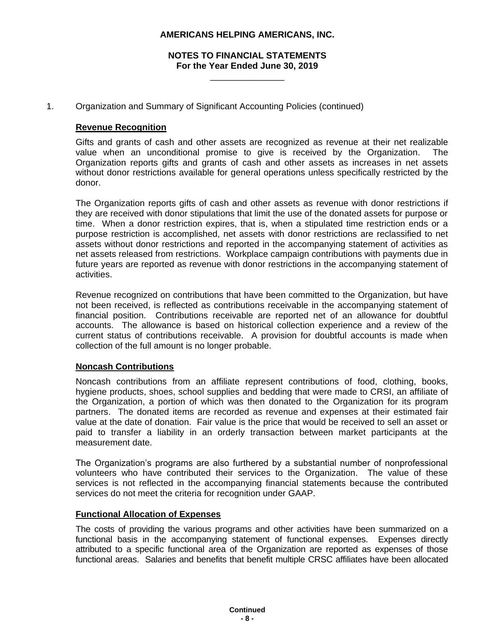#### **NOTES TO FINANCIAL STATEMENTS For the Year Ended June 30, 2019**

\_\_\_\_\_\_\_\_\_\_\_\_\_\_\_

#### 1. Organization and Summary of Significant Accounting Policies (continued)

#### **Revenue Recognition**

Gifts and grants of cash and other assets are recognized as revenue at their net realizable value when an unconditional promise to give is received by the Organization. The Organization reports gifts and grants of cash and other assets as increases in net assets without donor restrictions available for general operations unless specifically restricted by the donor.

The Organization reports gifts of cash and other assets as revenue with donor restrictions if they are received with donor stipulations that limit the use of the donated assets for purpose or time. When a donor restriction expires, that is, when a stipulated time restriction ends or a purpose restriction is accomplished, net assets with donor restrictions are reclassified to net assets without donor restrictions and reported in the accompanying statement of activities as net assets released from restrictions. Workplace campaign contributions with payments due in future years are reported as revenue with donor restrictions in the accompanying statement of activities.

Revenue recognized on contributions that have been committed to the Organization, but have not been received, is reflected as contributions receivable in the accompanying statement of financial position. Contributions receivable are reported net of an allowance for doubtful accounts. The allowance is based on historical collection experience and a review of the current status of contributions receivable. A provision for doubtful accounts is made when collection of the full amount is no longer probable.

#### **Noncash Contributions**

Noncash contributions from an affiliate represent contributions of food, clothing, books, hygiene products, shoes, school supplies and bedding that were made to CRSI, an affiliate of the Organization, a portion of which was then donated to the Organization for its program partners. The donated items are recorded as revenue and expenses at their estimated fair value at the date of donation. Fair value is the price that would be received to sell an asset or paid to transfer a liability in an orderly transaction between market participants at the measurement date.

The Organization's programs are also furthered by a substantial number of nonprofessional volunteers who have contributed their services to the Organization. The value of these services is not reflected in the accompanying financial statements because the contributed services do not meet the criteria for recognition under GAAP.

#### **Functional Allocation of Expenses**

The costs of providing the various programs and other activities have been summarized on a functional basis in the accompanying statement of functional expenses. Expenses directly attributed to a specific functional area of the Organization are reported as expenses of those functional areas. Salaries and benefits that benefit multiple CRSC affiliates have been allocated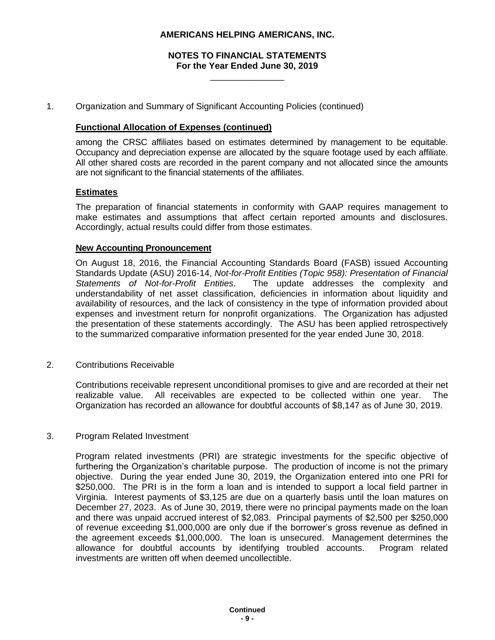#### **NOTES TO FINANCIAL STATEMENTS For the Year Ended June 30, 2019** \_\_\_\_\_\_\_\_\_\_\_\_\_\_\_

1. Organization and Summary of Significant Accounting Policies (continued)

#### **Functional Allocation of Expenses (continued)**

among the CRSC affiliates based on estimates determined by management to be equitable. Occupancy and depreciation expense are allocated by the square footage used by each affiliate. All other shared costs are recorded in the parent company and not allocated since the amounts are not significant to the financial statements of the affiliates.

#### **Estimates**

The preparation of financial statements in conformity with GAAP requires management to make estimates and assumptions that affect certain reported amounts and disclosures. Accordingly, actual results could differ from those estimates.

#### **New Accounting Pronouncement**

On August 18, 2016, the Financial Accounting Standards Board (FASB) issued Accounting Standards Update (ASU) 2016-14, *Not-for-Profit Entities (Topic 958): Presentation of Financial Statements of Not-for-Profit Entities*. The update addresses the complexity and understandability of net asset classification, deficiencies in information about liquidity and availability of resources, and the lack of consistency in the type of information provided about expenses and investment return for nonprofit organizations. The Organization has adjusted the presentation of these statements accordingly. The ASU has been applied retrospectively to the summarized comparative information presented for the year ended June 30, 2018.

2. Contributions Receivable

Contributions receivable represent unconditional promises to give and are recorded at their net realizable value. All receivables are expected to be collected within one year. The Organization has recorded an allowance for doubtful accounts of \$8,147 as of June 30, 2019.

#### 3. Program Related Investment

Program related investments (PRI) are strategic investments for the specific objective of furthering the Organization's charitable purpose. The production of income is not the primary objective. During the year ended June 30, 2019, the Organization entered into one PRI for \$250,000. The PRI is in the form a loan and is intended to support a local field partner in Virginia. Interest payments of \$3,125 are due on a quarterly basis until the loan matures on December 27, 2023. As of June 30, 2019, there were no principal payments made on the loan and there was unpaid accrued interest of \$2,083. Principal payments of \$2,500 per \$250,000 of revenue exceeding \$1,000,000 are only due if the borrower's gross revenue as defined in the agreement exceeds \$1,000,000. The loan is unsecured. Management determines the allowance for doubtful accounts by identifying troubled accounts. Program related investments are written off when deemed uncollectible.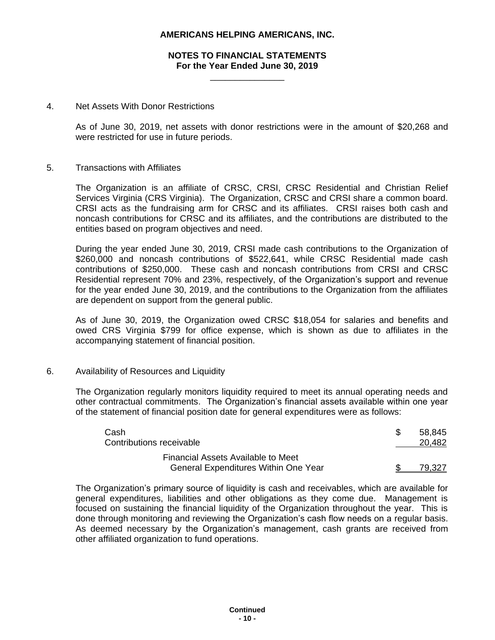#### **NOTES TO FINANCIAL STATEMENTS For the Year Ended June 30, 2019** \_\_\_\_\_\_\_\_\_\_\_\_\_\_\_

#### 4. Net Assets With Donor Restrictions

As of June 30, 2019, net assets with donor restrictions were in the amount of \$20,268 and were restricted for use in future periods.

#### 5. Transactions with Affiliates

The Organization is an affiliate of CRSC, CRSI, CRSC Residential and Christian Relief Services Virginia (CRS Virginia). The Organization, CRSC and CRSI share a common board. CRSI acts as the fundraising arm for CRSC and its affiliates. CRSI raises both cash and noncash contributions for CRSC and its affiliates, and the contributions are distributed to the entities based on program objectives and need.

During the year ended June 30, 2019, CRSI made cash contributions to the Organization of \$260,000 and noncash contributions of \$522,641, while CRSC Residential made cash contributions of \$250,000. These cash and noncash contributions from CRSI and CRSC Residential represent 70% and 23%, respectively, of the Organization's support and revenue for the year ended June 30, 2019, and the contributions to the Organization from the affiliates are dependent on support from the general public.

As of June 30, 2019, the Organization owed CRSC \$18,054 for salaries and benefits and owed CRS Virginia \$799 for office expense, which is shown as due to affiliates in the accompanying statement of financial position.

#### 6. Availability of Resources and Liquidity

The Organization regularly monitors liquidity required to meet its annual operating needs and other contractual commitments. The Organization's financial assets available within one year of the statement of financial position date for general expenditures were as follows:

| Cash                                        | 58.845 |
|---------------------------------------------|--------|
| Contributions receivable                    | 20,482 |
| Financial Assets Available to Meet          |        |
| <b>General Expenditures Within One Year</b> | 79.327 |

The Organization's primary source of liquidity is cash and receivables, which are available for general expenditures, liabilities and other obligations as they come due. Management is focused on sustaining the financial liquidity of the Organization throughout the year. This is done through monitoring and reviewing the Organization's cash flow needs on a regular basis. As deemed necessary by the Organization's management, cash grants are received from other affiliated organization to fund operations.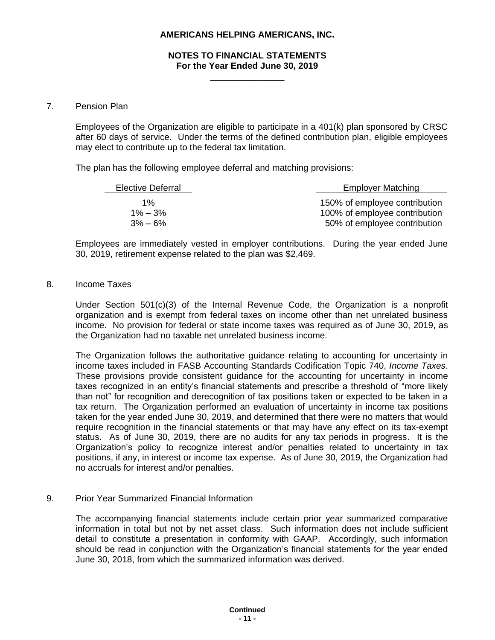#### **NOTES TO FINANCIAL STATEMENTS For the Year Ended June 30, 2019** \_\_\_\_\_\_\_\_\_\_\_\_\_\_\_

#### 7. Pension Plan

Employees of the Organization are eligible to participate in a 401(k) plan sponsored by CRSC after 60 days of service. Under the terms of the defined contribution plan, eligible employees may elect to contribute up to the federal tax limitation.

The plan has the following employee deferral and matching provisions:

| Elective Deferral | Employer Matching             |
|-------------------|-------------------------------|
| 1%                | 150% of employee contribution |
| $1\% - 3\%$       | 100% of employee contribution |
| $3\% - 6\%$       | 50% of employee contribution  |

Employees are immediately vested in employer contributions. During the year ended June 30, 2019, retirement expense related to the plan was \$2,469.

#### 8. Income Taxes

Under Section 501(c)(3) of the Internal Revenue Code, the Organization is a nonprofit organization and is exempt from federal taxes on income other than net unrelated business income. No provision for federal or state income taxes was required as of June 30, 2019, as the Organization had no taxable net unrelated business income.

The Organization follows the authoritative guidance relating to accounting for uncertainty in income taxes included in FASB Accounting Standards Codification Topic 740, *Income Taxes*. These provisions provide consistent guidance for the accounting for uncertainty in income taxes recognized in an entity's financial statements and prescribe a threshold of "more likely than not" for recognition and derecognition of tax positions taken or expected to be taken in a tax return. The Organization performed an evaluation of uncertainty in income tax positions taken for the year ended June 30, 2019, and determined that there were no matters that would require recognition in the financial statements or that may have any effect on its tax-exempt status. As of June 30, 2019, there are no audits for any tax periods in progress. It is the Organization's policy to recognize interest and/or penalties related to uncertainty in tax positions, if any, in interest or income tax expense. As of June 30, 2019, the Organization had no accruals for interest and/or penalties.

#### 9. Prior Year Summarized Financial Information

The accompanying financial statements include certain prior year summarized comparative information in total but not by net asset class. Such information does not include sufficient detail to constitute a presentation in conformity with GAAP. Accordingly, such information should be read in conjunction with the Organization's financial statements for the year ended June 30, 2018, from which the summarized information was derived.